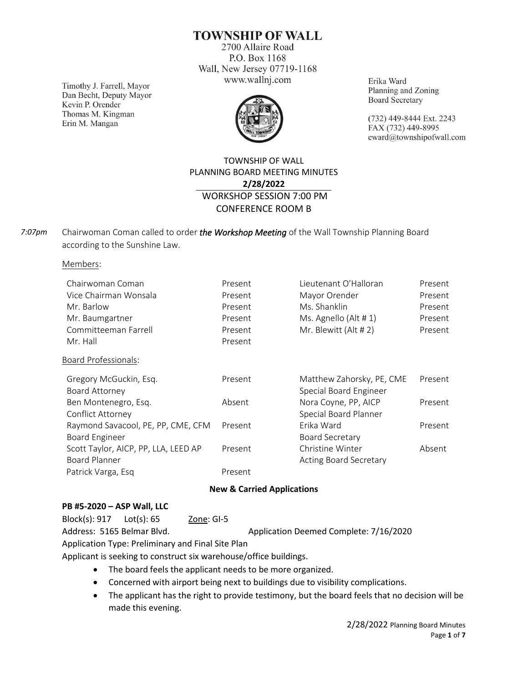**TOWNSHIP OF WALL** 

2700 Allaire Road P.O. Box 1168 Wall, New Jersey 07719-1168 www.wallnj.com

Timothy J. Farrell, Mayor Dan Becht, Deputy Mayor Kevin P. Orender Thomas M. Kingman Erin M. Mangan



Erika Ward Planning and Zoning **Board Secretary** 

(732) 449-8444 Ext. 2243 FAX (732) 449-8995 eward@townshipofwall.com

# TOWNSHIP OF WALL PLANNING BOARD MEETING MINUTES **2/28/2022** WORKSHOP SESSION 7:00 PM CONFERENCE ROOM B

Chairwoman Coman called to order *the Workshop Meeting* of the Wall Township Planning Board according to the Sunshine Law. *7:07pm*

Members:

| Chairwoman Coman                     | Present | Lieutenant O'Halloran         | Present |
|--------------------------------------|---------|-------------------------------|---------|
| Vice Chairman Wonsala                | Present | Mayor Orender                 | Present |
| Mr. Barlow                           | Present | Ms. Shanklin                  | Present |
| Mr. Baumgartner                      | Present | Ms. Agnello (Alt $# 1$ )      | Present |
| Committeeman Farrell                 | Present | Mr. Blewitt (Alt # 2)         | Present |
| Mr. Hall                             | Present |                               |         |
| <b>Board Professionals:</b>          |         |                               |         |
| Gregory McGuckin, Esq.               | Present | Matthew Zahorsky, PE, CME     | Present |
| Board Attorney                       |         | Special Board Engineer        |         |
| Ben Montenegro, Esq.                 | Absent  | Nora Coyne, PP, AICP          | Present |
| Conflict Attorney                    |         | Special Board Planner         |         |
| Raymond Savacool, PE, PP, CME, CFM   | Present | Erika Ward                    | Present |
| <b>Board Engineer</b>                |         | Board Secretary               |         |
| Scott Taylor, AICP, PP, LLA, LEED AP | Present | Christine Winter              | Absent  |
| Board Planner                        |         | <b>Acting Board Secretary</b> |         |
| Patrick Varga, Esq                   | Present |                               |         |

#### **New & Carried Applications**

### **PB #5-2020 – ASP Wall, LLC**

Block(s): 917 Lot(s): 65 Zone: GI-5

Address: 5165 Belmar Blvd. Application Deemed Complete: 7/16/2020

Application Type: Preliminary and Final Site Plan

Applicant is seeking to construct six warehouse/office buildings.

- The board feels the applicant needs to be more organized.
- Concerned with airport being next to buildings due to visibility complications.
- The applicant has the right to provide testimony, but the board feels that no decision will be made this evening.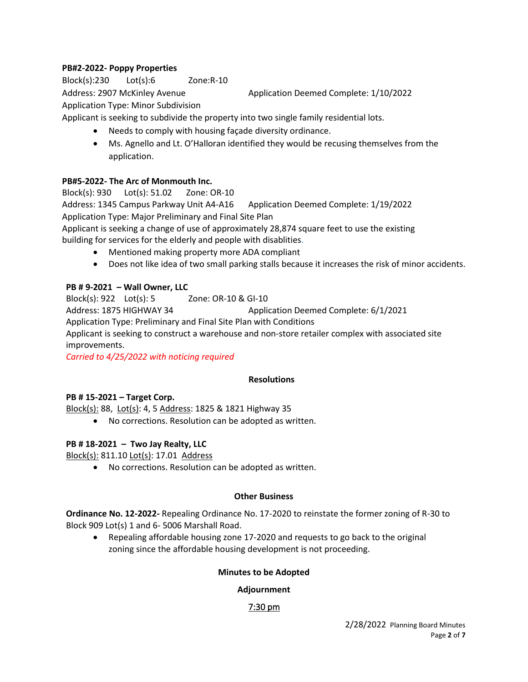# **PB#2-2022- Poppy Properties**

Block(s):230 Lot(s):6 Zone:R-10

Address: 2907 McKinley Avenue Application Deemed Complete: 1/10/2022

Application Type: Minor Subdivision

Applicant is seeking to subdivide the property into two single family residential lots.

- Needs to comply with housing façade diversity ordinance.
- Ms. Agnello and Lt. O'Halloran identified they would be recusing themselves from the application.

### **PB#5-2022- The Arc of Monmouth Inc.**

Block(s): 930 Lot(s): 51.02 Zone: OR-10 Address: 1345 Campus Parkway Unit A4-A16 Application Deemed Complete: 1/19/2022 Application Type: Major Preliminary and Final Site Plan Applicant is seeking a change of use of approximately 28,874 square feet to use the existing building for services for the elderly and people with disablities. • Mentioned making property more ADA compliant

• Does not like idea of two small parking stalls because it increases the risk of minor accidents.

#### **PB # 9-2021 – Wall Owner, LLC**

Block(s): 922 Lot(s): 5 Zone: OR-10 & GI-10

Address: 1875 HIGHWAY 34 Application Deemed Complete: 6/1/2021

Application Type: Preliminary and Final Site Plan with Conditions

Applicant is seeking to construct a warehouse and non-store retailer complex with associated site improvements.

*Carried to 4/25/2022 with noticing required*

#### **Resolutions**

#### **PB # 15-2021 – Target Corp.**

Block(s): 88, Lot(s): 4, 5 Address: 1825 & 1821 Highway 35

• No corrections. Resolution can be adopted as written.

# **PB # 18-2021 – Two Jay Realty, LLC**

Block(s): 811.10 Lot(s): 17.01 Address

• No corrections. Resolution can be adopted as written.

#### **Other Business**

**Ordinance No. 12-2022-** Repealing Ordinance No. 17-2020 to reinstate the former zoning of R-30 to Block 909 Lot(s) 1 and 6- 5006 Marshall Road.

• Repealing affordable housing zone 17-2020 and requests to go back to the original zoning since the affordable housing development is not proceeding.

#### **Minutes to be Adopted**

# **Adjournment**

# 7:30 pm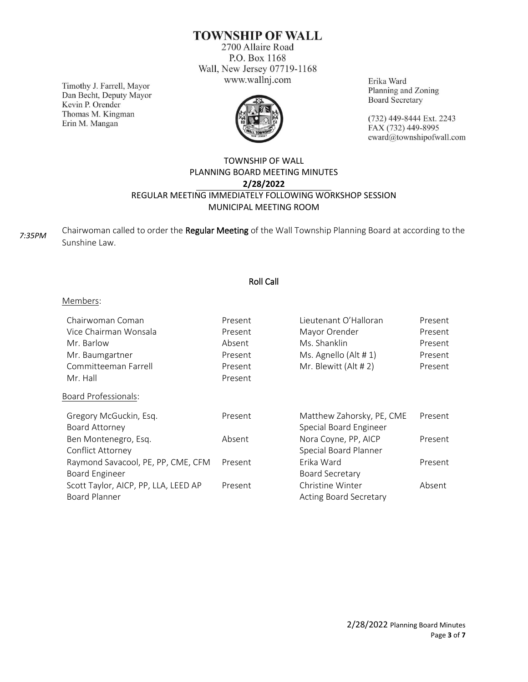# **TOWNSHIP OF WALL**

2700 Allaire Road P.O. Box 1168 Wall, New Jersey 07719-1168 www.wallnj.com

Timothy J. Farrell, Mayor Dan Becht, Deputy Mayor Kevin P. Orender Thomas M. Kingman Erin M. Mangan



Erika Ward Planning and Zoning **Board Secretary** 

(732) 449-8444 Ext. 2243 FAX (732) 449-8995 eward@townshipofwall.com

# TOWNSHIP OF WALL PLANNING BOARD MEETING MINUTES **2/28/2022** REGULAR MEETING IMMEDIATELY FOLLOWING WORKSHOP SESSION MUNICIPAL MEETING ROOM

Chairwoman called to order the Regular Meeting of the Wall Township Planning Board at according to the Sunshine Law. *7:35PM*

# Roll Call

#### Members:

| Chairwoman Coman                     | Present | Lieutenant O'Halloran         | Present |
|--------------------------------------|---------|-------------------------------|---------|
| Vice Chairman Wonsala                | Present | Mayor Orender                 | Present |
| Mr. Barlow                           | Absent  | Ms. Shanklin                  | Present |
| Mr. Baumgartner                      | Present | Ms. Agnello (Alt # 1)         | Present |
| Committeeman Farrell                 | Present | Mr. Blewitt (Alt # 2)         | Present |
| Mr. Hall                             | Present |                               |         |
| <b>Board Professionals:</b>          |         |                               |         |
| Gregory McGuckin, Esq.               | Present | Matthew Zahorsky, PE, CME     | Present |
| Board Attorney                       |         | Special Board Engineer        |         |
| Ben Montenegro, Esq.                 | Absent  | Nora Coyne, PP, AICP          | Present |
| Conflict Attorney                    |         | Special Board Planner         |         |
| Raymond Savacool, PE, PP, CME, CFM   | Present | Erika Ward                    | Present |
| Board Engineer                       |         | <b>Board Secretary</b>        |         |
| Scott Taylor, AICP, PP, LLA, LEED AP | Present | Christine Winter              | Absent  |
| <b>Board Planner</b>                 |         | <b>Acting Board Secretary</b> |         |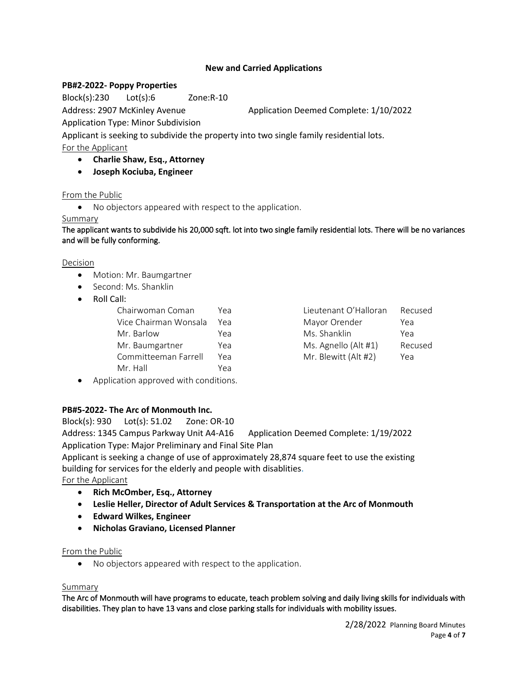#### **New and Carried Applications**

#### **PB#2-2022- Poppy Properties**

Block(s):230 Lot(s):6 Zone:R-10

Address: 2907 McKinley Avenue Application Deemed Complete: 1/10/2022

Application Type: Minor Subdivision

Applicant is seeking to subdivide the property into two single family residential lots.

For the Applicant

- **Charlie Shaw, Esq., Attorney**
- **Joseph Kociuba, Engineer**

#### From the Public

• No objectors appeared with respect to the application.

#### Summary

The applicant wants to subdivide his 20,000 sqft. lot into two single family residential lots. There will be no variances and will be fully conforming.

**Decision** 

- Motion: Mr. Baumgartner
- Second: Ms. Shanklin
- Roll Call:

| Chairwoman Coman      | Yea | Lieutenant O'Halloran | Recused |
|-----------------------|-----|-----------------------|---------|
| Vice Chairman Wonsala | Үеа | Mayor Orender         | Yea     |
| Mr. Barlow            | Yea | Ms. Shanklin          | Yea     |
| Mr. Baumgartner       | Yea | Ms. Agnello (Alt #1)  | Recused |
| Committeeman Farrell  | Yea | Mr. Blewitt (Alt #2)  | Yea     |
| Mr. Hall              | Yea |                       |         |
|                       |     |                       |         |

| Chairwoman Coman<br>Yea<br>Lieutenant O'Halloran    | Recused |
|-----------------------------------------------------|---------|
| Vice Chairman Wonsala<br>Mayor Orender<br>Yea       | Yea     |
| Mr. Barlow<br>Ms. Shanklin<br>Yea                   | Yea     |
| Ms. Agnello (Alt #1)<br>Mr. Baumgartner<br>Yea      | Recused |
| Mr. Blewitt (Alt #2)<br>Committeeman Farrell<br>Үеа | Yea     |

• Application approved with conditions.

# **PB#5-2022- The Arc of Monmouth Inc.**

Block(s): 930 Lot(s): 51.02 Zone: OR-10 Address: 1345 Campus Parkway Unit A4-A16 Application Deemed Complete: 1/19/2022 Application Type: Major Preliminary and Final Site Plan

Applicant is seeking a change of use of approximately 28,874 square feet to use the existing building for services for the elderly and people with disablities.

For the Applicant

- **Rich McOmber, Esq., Attorney**
- **Leslie Heller, Director of Adult Services & Transportation at the Arc of Monmouth**
- **Edward Wilkes, Engineer**
- **Nicholas Graviano, Licensed Planner**

#### From the Public

• No objectors appeared with respect to the application.

#### Summary

The Arc of Monmouth will have programs to educate, teach problem solving and daily living skills for individuals with disabilities. They plan to have 13 vans and close parking stalls for individuals with mobility issues.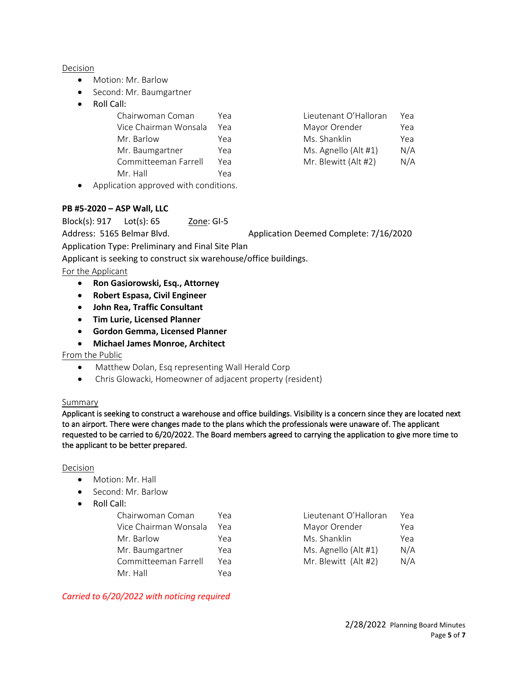#### Decision

- Motion: Mr. Barlow
- Second: Mr. Baumgartner
- Roll Call:

| Chairwoman Coman      | Үеа | Lieutenant O'Halloran | Үеа |
|-----------------------|-----|-----------------------|-----|
| Vice Chairman Wonsala | Үеа | Mayor Orender         | Yea |
| Mr. Barlow            | Yea | Ms. Shanklin          | Yea |
| Mr. Baumgartner       | Yea | Ms. Agnello (Alt #1)  | N/A |
| Committeeman Farrell  | Yea | Mr. Blewitt (Alt #2)  | N/A |
| Mr. Hall              | Yea |                       |     |

• Application approved with conditions.

#### **PB #5-2020 – ASP Wall, LLC**

Block(s): 917 Lot(s): 65 Zone: GI-5

Address: 5165 Belmar Blvd. Application Deemed Complete: 7/16/2020

Application Type: Preliminary and Final Site Plan

Applicant is seeking to construct six warehouse/office buildings.

For the Applicant

- **Ron Gasiorowski, Esq., Attorney**
- **Robert Espasa, Civil Engineer**
- **John Rea, Traffic Consultant**
- **Tim Lurie, Licensed Planner**
- **Gordon Gemma, Licensed Planner**
- **Michael James Monroe, Architect**

From the Public

- Matthew Dolan, Esq representing Wall Herald Corp
- Chris Glowacki, Homeowner of adjacent property (resident)

#### **Summary**

Applicant is seeking to construct a warehouse and office buildings. Visibility is a concern since they are located next to an airport. There were changes made to the plans which the professionals were unaware of. The applicant requested to be carried to 6/20/2022. The Board members agreed to carrying the application to give more time to the applicant to be better prepared.

Decision

- Motion: Mr. Hall
- Second: Mr. Barlow
- Roll Call:

| Chairwoman Coman      | Yea |
|-----------------------|-----|
| Vice Chairman Wonsala | Yea |
| Mr. Barlow            | Yea |
| Mr. Baumgartner       | Yea |
| Committeeman Farrell  | Yea |
| Mr. Hall              | Үеа |

| Chairwoman Coman      | Yea | Lieutenant O'Halloran | Yea |
|-----------------------|-----|-----------------------|-----|
| Vice Chairman Wonsala | Yea | Mayor Orender         | Yea |
| Mr. Barlow            | Yea | Ms. Shanklin          | Yea |
| Mr. Baumgartner       | Yea | Ms. Agnello (Alt #1)  | N/A |
| Committeeman Farrell  | Үеа | Mr. Blewitt (Alt #2)  | N/A |

*Carried to 6/20/2022 with noticing required*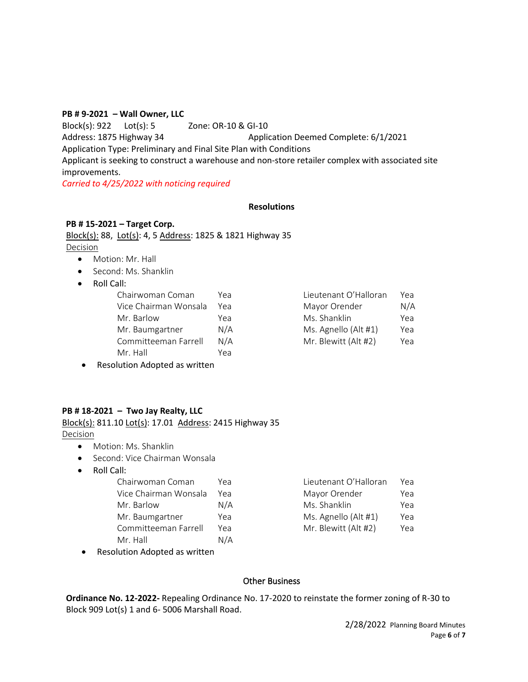#### **PB # 9-2021 – Wall Owner, LLC**

Block(s): 922 Lot(s): 5 Zone: OR-10 & GI-10

Address: 1875 Highway 34 Application Deemed Complete: 6/1/2021

Application Type: Preliminary and Final Site Plan with Conditions

Applicant is seeking to construct a warehouse and non-store retailer complex with associated site improvements.

*Carried to 4/25/2022 with noticing required*

#### **Resolutions**

### **PB # 15-2021 – Target Corp.**

Block(s): 88, Lot(s): 4, 5 Address: 1825 & 1821 Highway 35 Decision

- Motion: Mr. Hall
- Second: Ms. Shanklin
- Roll Call:

| Chairwoman Coman      | Үеа | Lieutenant O'Halloran | Yea |
|-----------------------|-----|-----------------------|-----|
| Vice Chairman Wonsala | Үеа | Mayor Orender         | N/A |
| Mr. Barlow            | Yea | Ms. Shanklin          | Yea |
| Mr. Baumgartner       | N/A | Ms. Agnello (Alt #1)  | Yea |
| Committeeman Farrell  | N/A | Mr. Blewitt (Alt #2)  | Yea |
| Mr. Hall              | Үеа |                       |     |
|                       |     |                       |     |

| Lieutenant O'Halloran | Yea |
|-----------------------|-----|
| Mayor Orender         | N/A |
| Ms. Shanklin          | Yea |
| Ms. Agnello (Alt #1)  | Yea |
| Mr. Blewitt (Alt #2)  | Yea |

• Resolution Adopted as written

# **PB # 18-2021 – Two Jay Realty, LLC**

Block(s): 811.10 Lot(s): 17.01 Address: 2415 Highway 35 Decision

- Motion: Ms. Shanklin
- Second: Vice Chairman Wonsala
- Roll Call:

| Chairwoman Coman      | Yea | Lieutenant O'Halloran | Yea |
|-----------------------|-----|-----------------------|-----|
| Vice Chairman Wonsala | Үеа | Mayor Orender         | Yea |
| Mr. Barlow            | N/A | Ms. Shanklin          | Yea |
| Mr. Baumgartner       | Yea | Ms. Agnello (Alt #1)  | Yea |
| Committeeman Farrell  | Yea | Mr. Blewitt (Alt #2)  | Yea |
| Mr. Hall              | N/A |                       |     |
|                       |     |                       |     |

• Resolution Adopted as written

| Lieutenant O'Halloran | Yea |
|-----------------------|-----|
| Mayor Orender         | Yea |
| Ms. Shanklin          | Yea |
| Ms. Agnello (Alt #1)  | Yea |
| Mr. Blewitt (Alt #2)  | Yea |

#### Other Business

**Ordinance No. 12-2022-** Repealing Ordinance No. 17-2020 to reinstate the former zoning of R-30 to Block 909 Lot(s) 1 and 6- 5006 Marshall Road.